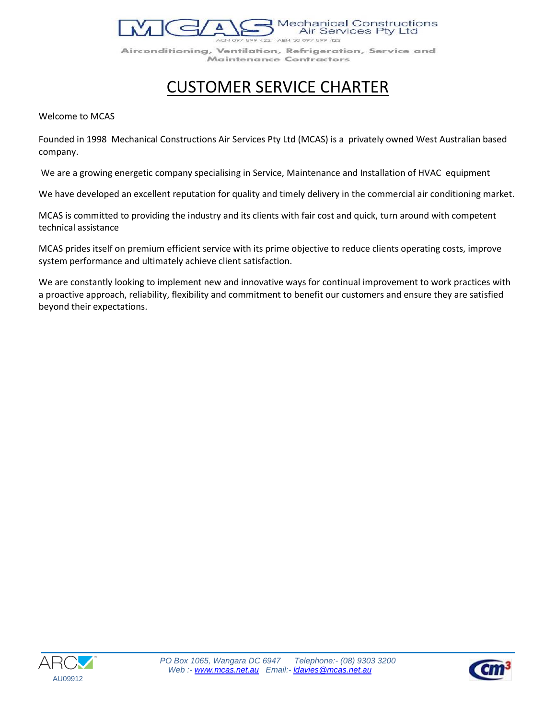**Mechanical Constructions** Air Services Pty Ltd

422 ABN 30 097 899 422 Airconditioning, Ventilation, Refrigeration, Service and Maintenance Contractors

# CUSTOMER SERVICE CHARTER

Welcome to MCAS

Founded in 1998 Mechanical Constructions Air Services Pty Ltd (MCAS) is a privately owned West Australian based company.

We are a growing energetic company specialising in Service, Maintenance and Installation of HVAC equipment

We have developed an excellent reputation for quality and timely delivery in the commercial air conditioning market.

MCAS is committed to providing the industry and its clients with fair cost and quick, turn around with competent technical assistance

MCAS prides itself on premium efficient service with its prime objective to reduce clients operating costs, improve system performance and ultimately achieve client satisfaction.

We are constantly looking to implement new and innovative ways for continual improvement to work practices with a proactive approach, reliability, flexibility and commitment to benefit our customers and ensure they are satisfied beyond their expectations.



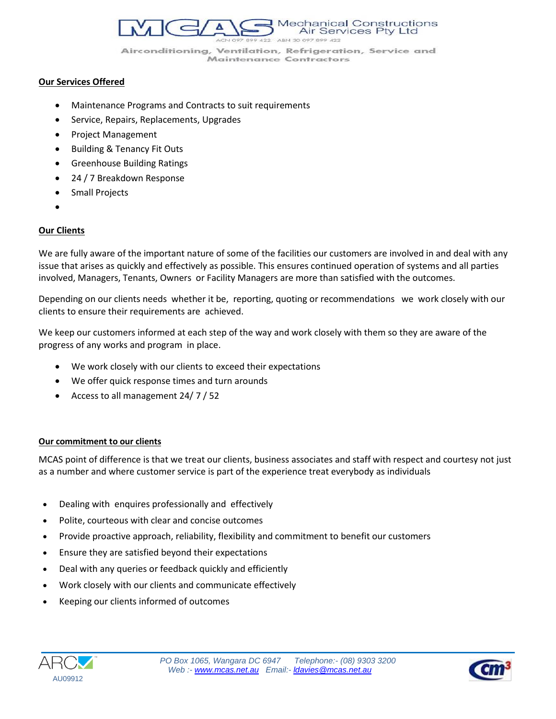**Mechanical Constructions** Air Services Pty Ltd 422 ABN 30 097 899 422

Airconditioning, Ventilation, Refrigeration, Service and **Maintenance Contractors** 

#### **Our Services Offered**

- Maintenance Programs and Contracts to suit requirements
- **•** Service, Repairs, Replacements, Upgrades
- Project Management
- Building & Tenancy Fit Outs
- Greenhouse Building Ratings
- 24 / 7 Breakdown Response
- Small Projects
- $\bullet$

## **Our Clients**

We are fully aware of the important nature of some of the facilities our customers are involved in and deal with any issue that arises as quickly and effectively as possible. This ensures continued operation of systems and all parties involved, Managers, Tenants, Owners or Facility Managers are more than satisfied with the outcomes.

Depending on our clients needs whether it be, reporting, quoting or recommendations we work closely with our clients to ensure their requirements are achieved.

We keep our customers informed at each step of the way and work closely with them so they are aware of the progress of any works and program in place.

- We work closely with our clients to exceed their expectations
- We offer quick response times and turn arounds
- Access to all management 24/ 7 / 52

### **Our commitment to our clients**

MCAS point of difference is that we treat our clients, business associates and staff with respect and courtesy not just as a number and where customer service is part of the experience treat everybody as individuals

- Dealing with enquires professionally and effectively
- Polite, courteous with clear and concise outcomes
- Provide proactive approach, reliability, flexibility and commitment to benefit our customers
- Ensure they are satisfied beyond their expectations
- Deal with any queries or feedback quickly and efficiently
- Work closely with our clients and communicate effectively
- Keeping our clients informed of outcomes